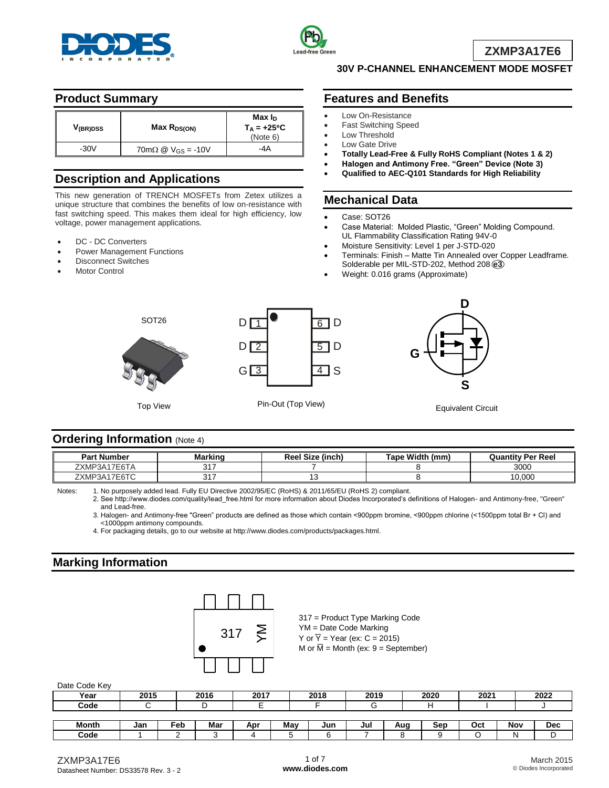



**ZXMP3A17E6**

## **Product Summary**

| V <sub>(BR)DSS</sub> | Max R <sub>DS(ON)</sub>                                             | Max I <sub>D</sub><br>$T_A = +25^{\circ}C$<br>(Note 6) |
|----------------------|---------------------------------------------------------------------|--------------------------------------------------------|
| $-30V$               | $70 \text{m}\Omega \text{ } \textcircled{2}$ V <sub>GS</sub> = -10V | -4A                                                    |

# **Description and Applications**

This new generation of TRENCH MOSFETs from Zetex utilizes a unique structure that combines the benefits of low on-resistance with fast switching speed. This makes them ideal for high efficiency, low voltage, power management applications.

- DC DC Converters
- Power Management Functions
- Disconnect Switches
- Motor Control

### **30V P-CHANNEL ENHANCEMENT MODE MOSFET**

## **Features and Benefits**

- Low On-Resistance
- Fast Switching Speed
- Low Threshold
	- Low Gate Drive
- **Totally Lead-Free & Fully RoHS Compliant (Notes 1 & 2)**
- **Halogen and Antimony Free. "Green" Device (Note 3)**
- **Qualified to AEC-Q101 Standards for High Reliability**

### **Mechanical Data**

- Case: SOT26
- Case Material: Molded Plastic, "Green" Molding Compound. UL Flammability Classification Rating 94V-0
- Moisture Sensitivity: Level 1 per J-STD-020
- Terminals: Finish Matte Tin Annealed over Copper Leadframe. Solderable per MIL-STD-202, Method 208 **e3**
- Weight: 0.016 grams (Approximate)



## **Ordering Information (Note 4)**

| <b>Part Number</b> | Markino        | <b>Reel Size (inch)</b> | Tape Width (mm) | <b>Quantity Per Reel</b> |
|--------------------|----------------|-------------------------|-----------------|--------------------------|
| `17E6TA<br>ZXMP3A  | n 1 -<br>. ا ت |                         |                 | 3000                     |
| 17E6TC<br>ZXMP3A   | . . -<br>. ا ف |                         |                 | 0.000                    |

Notes: 1. No purposely added lead. Fully EU Directive 2002/95/EC (RoHS) & 2011/65/EU (RoHS 2) compliant.

2. See [http://www.diodes.com/quality/lead\\_free.html fo](http://www.diodes.com/quality/lead_free.html)r more information about Diodes Incorporated's definitions of Halogen- and Antimony-free, "Green" and Lead-free.

3. Halogen- and Antimony-free "Green" products are defined as those which contain <900ppm bromine, <900ppm chlorine (<1500ppm total Br + Cl) and <1000ppm antimony compounds.

4. For packaging details, go to our website at [http://www.diodes.com/products/packages.html.](http://www.diodes.com/products/packages.html)

## **Marking Information**



317 = Product Type Marking Code YM = Date Code Marking Y or  $\overline{Y}$  = Year (ex: C = 2015) M or  $\overline{M}$  = Month (ex: 9 = September)

| Date Code IVel |      |     |      |      |     |      |      |     |      |      |     |            |
|----------------|------|-----|------|------|-----|------|------|-----|------|------|-----|------------|
| Year           | 2015 |     | 2016 | 2017 |     | 2018 | 2019 |     | 2020 | 2021 |     | 2022       |
| Code           |      |     |      |      |     |      |      |     |      |      |     |            |
|                |      |     |      |      |     |      |      |     |      |      |     |            |
| <b>Month</b>   | Jan  | ≂eb | Mar  | Apr  | May | Jun  | Jul  | Aug | Sep  | Oct  | Nov | <b>Dec</b> |

Date Code Key

**Code** 1 2 3 4 5 6 7 8 9 O N D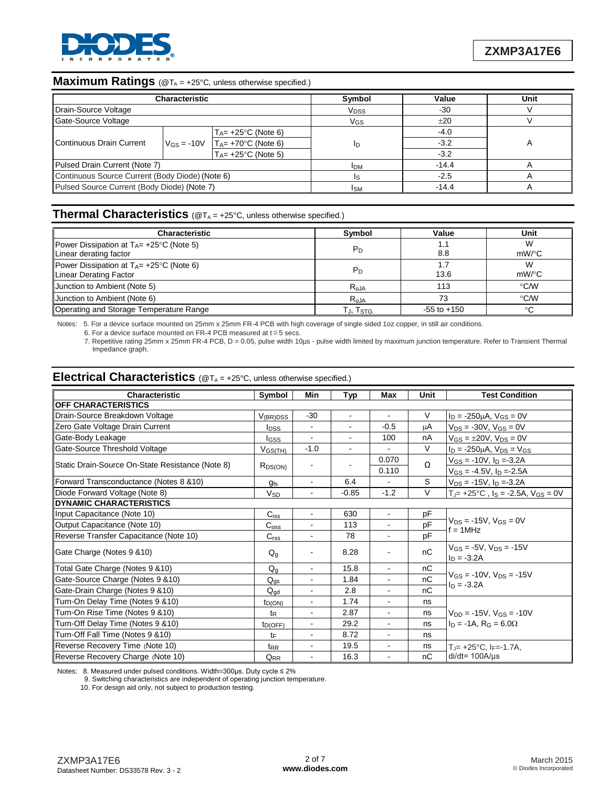

# **Maximum Ratings** (@T<sub>A</sub> = +25°C, unless otherwise specified.)

| <b>Characteristic</b>                           |  |                                                 | Symbol                 | Value   | Unit |
|-------------------------------------------------|--|-------------------------------------------------|------------------------|---------|------|
| Drain-Source Voltage                            |  |                                                 | <b>V<sub>DSS</sub></b> | -30     |      |
| Gate-Source Voltage                             |  |                                                 | VGS                    | ±20     |      |
|                                                 |  | $T_A$ = +25°C (Note 6)                          |                        | $-4.0$  |      |
| Continuous Drain Current                        |  | $V_{GS} = -10V$ $T_{A} = +70^{\circ}C$ (Note 6) | ID                     | $-3.2$  |      |
|                                                 |  | $T_A$ = +25°C (Note 5)                          |                        | $-3.2$  |      |
| Pulsed Drain Current (Note 7)                   |  |                                                 | <b>IDM</b>             | $-14.4$ |      |
| Continuous Source Current (Body Diode) (Note 6) |  |                                                 |                        | $-2.5$  |      |
| Pulsed Source Current (Body Diode) (Note 7)     |  |                                                 | Isм                    | $-14.4$ |      |

# **Thermal Characteristics** (@T<sub>A</sub> = +25°C, unless otherwise specified.)

| <b>Characteristic</b>                                                                          | Symbol          | Value           | Unit          |
|------------------------------------------------------------------------------------------------|-----------------|-----------------|---------------|
| <b>Power Dissipation at T<sub>A</sub>= +25<sup>°</sup>C (Note 5)</b><br>Linear derating factor | $P_D$           | 1.1<br>8.8      | W<br>$mW$ /°C |
| Power Dissipation at $T_A$ = +25°C (Note 6)<br>Linear Derating Factor                          | $P_D$           | 1.7<br>13.6     | W<br>$mW$ /°C |
| Junction to Ambient (Note 5)                                                                   | $R_{AJA}$       | 113             | $\degree$ C/W |
| Junction to Ambient (Note 6)                                                                   | $R_{\theta}$ JA | 73              | $\degree$ C/W |
| Operating and Storage Temperature Range                                                        | TJ, Tstg        | $-55$ to $+150$ | °C            |

Notes: 5. For a device surface mounted on 25mm x 25mm FR-4 PCB with high coverage of single sided 1oz copper, in still air conditions.

6. For a device surface mounted on FR-4 PCB measured at t≦5 secs.

7. Repetitive rating 25mm x 25mm FR-4 PCB, D = 0.05, pulse width 10µs - pulse width limited by maximum junction temperature. Refer to Transient Thermal Impedance graph.

### **Electrical Characteristics** (@T<sub>A</sub> = +25°C, unless otherwise specified.)

| Characteristic                                   | Symbol                  | Min            | Typ                      | Max                      | Unit | <b>Test Condition</b>                                     |
|--------------------------------------------------|-------------------------|----------------|--------------------------|--------------------------|------|-----------------------------------------------------------|
| OFF CHARACTERISTICS                              |                         |                |                          |                          |      |                                                           |
| Drain-Source Breakdown Voltage                   | $V_{(BR)DSS}$           | $-30$          | $\blacksquare$           | $\sim$                   | V    | $I_D = -250 \mu A$ , $V_{GS} = 0V$                        |
| Zero Gate Voltage Drain Current                  | <b>l</b> <sub>DSS</sub> | $\blacksquare$ | $\sim$                   | $-0.5$                   | μA   | $V_{DS} = -30V$ , $V_{GS} = 0V$                           |
| Gate-Body Leakage                                | <b>I</b> GSS            | $\blacksquare$ | $\blacksquare$           | 100                      | nA   | $V_{GS} = \pm 20V$ , $V_{DS} = 0V$                        |
| Gate-Source Threshold Voltage                    | V <sub>GS(TH)</sub>     | $-1.0$         | $\overline{\phantom{a}}$ |                          | V    | $I_D = -250 \mu A$ , $V_{DS} = V_{GS}$                    |
| Static Drain-Source On-State Resistance (Note 8) |                         | $\blacksquare$ |                          | 0.070                    | Ω    | $V_{GS} = -10V$ , $I_D = -3.2A$                           |
|                                                  | R <sub>DS(ON)</sub>     |                |                          | 0.110                    |      | $V_{GS} = -4.5V$ , $I_D = -2.5A$                          |
| Forward Transconductance (Notes 8 & 10)          | $g_{fs}$                | ÷,             | 6.4                      |                          | S    | $V_{DS}$ = -15V, $I_D$ = -3.2A                            |
| Diode Forward Voltage (Note 8)                   | <b>V<sub>SD</sub></b>   |                | $-0.85$                  | $-1.2$                   | V    | $T_{J}$ = +25°C, $I_S$ = -2.5A, $V_{GS}$ = 0V             |
| <b>DYNAMIC CHARACTERISTICS</b>                   |                         |                |                          |                          |      |                                                           |
| Input Capacitance (Note 10)                      | $C_{iss}$               | $\blacksquare$ | 630                      | $\blacksquare$           | pF   |                                                           |
| Output Capacitance (Note 10)                     |                         | ä,             | 113                      | L.                       | pF   | $V_{DS} = -15V$ , $V_{GS} = 0V$<br>$f = 1$ MHz            |
| Reverse Transfer Capacitance (Note 10)           | C <sub>rss</sub>        | $\blacksquare$ | 78                       | $\blacksquare$           | pF   |                                                           |
| Gate Charge (Notes 9 & 10)                       | $Q_q$                   | ۰              | 8.28                     | $\overline{\phantom{a}}$ | nC   | $V$ <sub>GS</sub> = -5V, $V_{DS}$ = -15V<br>$I_D = -3.2A$ |
| Total Gate Charge (Notes 9 & 10)                 | $Q_{q}$                 | $\blacksquare$ | 15.8                     | $\overline{\phantom{a}}$ | nC   |                                                           |
| Gate-Source Charge (Notes 9 & 10)                | $Q_{qs}$                | $\blacksquare$ | 1.84                     | $\blacksquare$           | nC   | $V_{GS} = -10V$ , $V_{DS} = -15V$                         |
| Gate-Drain Charge (Notes 9 & 10)                 | $Q_{\text{ad}}$         | $\blacksquare$ | 2.8                      |                          | nC   | $ln = -3.2A$                                              |
| Turn-On Delay Time (Notes 9 & 10)                | $t_{D(ON)}$             | $\blacksquare$ | 1.74                     | $\blacksquare$           | ns   |                                                           |
| Turn-On Rise Time (Notes 9 & 10)                 | $t_{\mathsf{R}}$        |                | 2.87                     |                          | ns   | $V_{DD} = -15V$ , $V_{GS} = -10V$                         |
| Turn-Off Delay Time (Notes 9 & 10)               | $t_{D(OFF)}$            | $\blacksquare$ | 29.2                     | $\blacksquare$           | ns   | $I_D$ = -1A, R <sub>G</sub> = 6.0 $\Omega$                |
| Turn-Off Fall Time (Notes 9 & 10)                | tF                      |                | 8.72                     |                          | ns   |                                                           |
| Reverse Recovery Time (Note 10)                  | $t_{RR}$                |                | 19.5                     |                          | ns   | T.⊫ +25°C. Iғ=-1.7A.                                      |
| Reverse Recovery Charge (Note 10)                | Q <sub>RR</sub>         |                | 16.3                     |                          | nC   | $di/dt = 100A/\mu s$                                      |

Notes: 8. Measured under pulsed conditions. Width=300μs. Duty cycle ≤ 2%

9. Switching characteristics are independent of operating junction temperature.

10. For design aid only, not subject to production testing.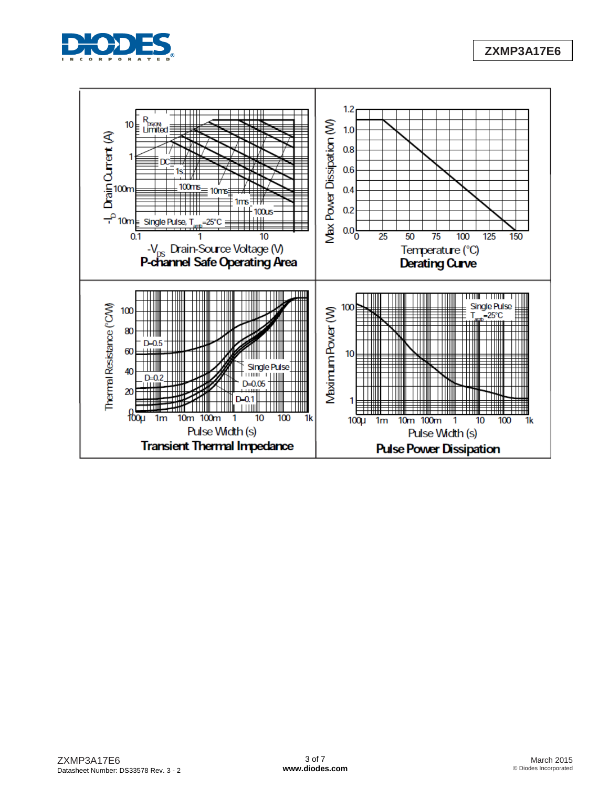



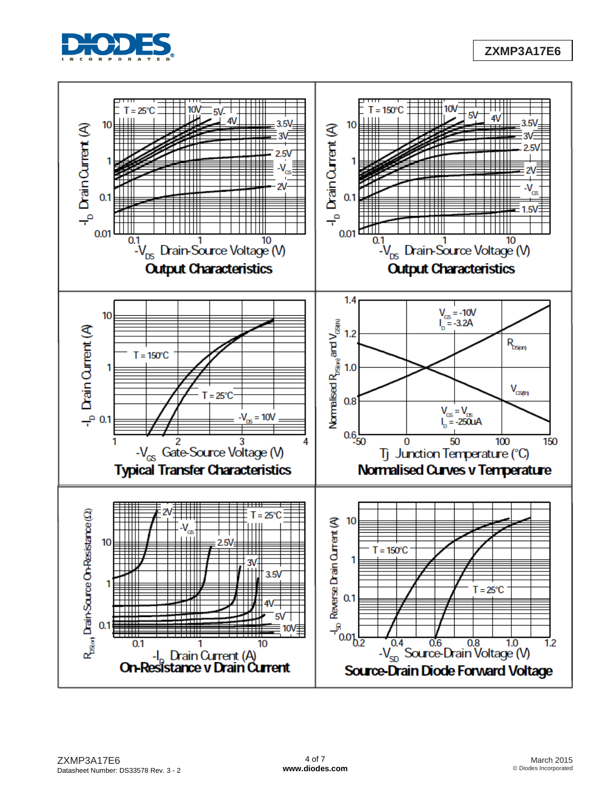

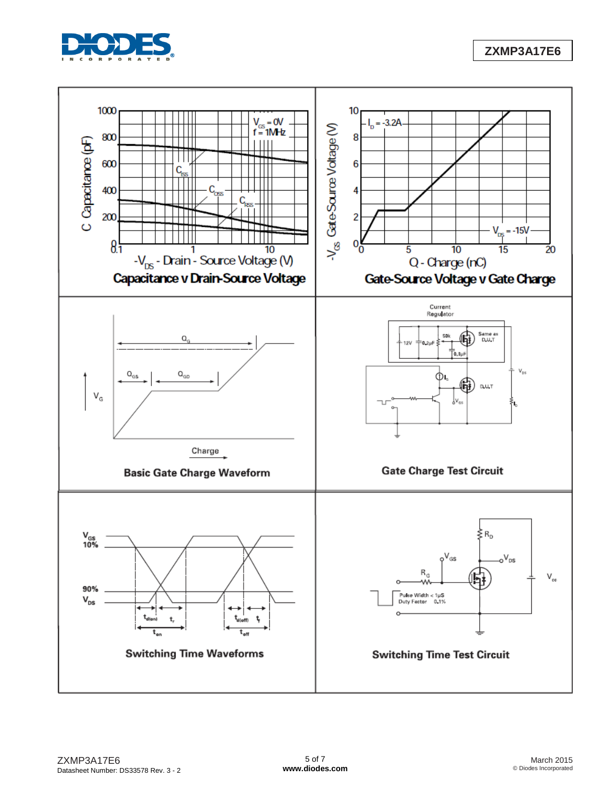

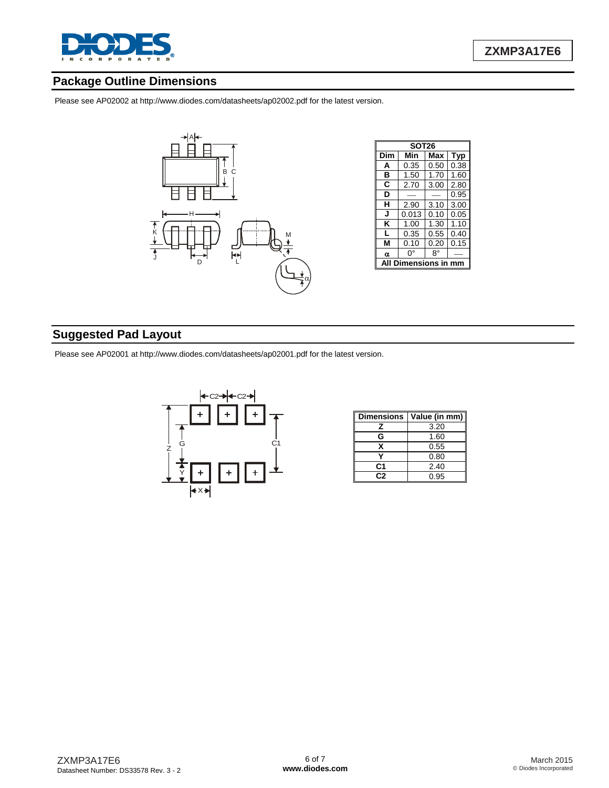

## **Package Outline Dimensions**

Please see AP02002 at [http://www.diodes.com/datasheets/ap02002.pdf fo](http://www.diodes.com/datasheets/ap02002.pdf)r the latest version.



| <b>SOT26</b> |       |      |            |  |  |  |  |
|--------------|-------|------|------------|--|--|--|--|
| Dim          | Min   | Max  | <b>Typ</b> |  |  |  |  |
| А            | 0.35  | 0.50 | 0.38       |  |  |  |  |
| в            | 1.50  | 1.70 | 1.60       |  |  |  |  |
| C            | 2.70  | 3.00 | 2.80       |  |  |  |  |
| D            |       |      | 0.95       |  |  |  |  |
| н            | 2.90  | 3.10 | 3.00       |  |  |  |  |
| J            | 0.013 | 0.10 | 0.05       |  |  |  |  |
| ĸ            | 1.00  | 1.30 | 1.10       |  |  |  |  |
| L            | 0.35  | 0.55 | 0.40       |  |  |  |  |
| м            | 0.10  | 0.20 | 0.15       |  |  |  |  |
| α            | ŋ۰    | 8°   |            |  |  |  |  |
| nsio<br>١S   |       |      |            |  |  |  |  |

# **Suggested Pad Layout**

Please see AP02001 at [http://www.diodes.com/datasheets/ap02001.pdf fo](http://www.diodes.com/datasheets/ap02001.pdf)r the latest version.



| <b>Dimensions</b> | Value (in mm) |  |  |  |
|-------------------|---------------|--|--|--|
| z                 | 3.20          |  |  |  |
| G                 | 1.60          |  |  |  |
| x                 | 0.55          |  |  |  |
|                   | 0.80          |  |  |  |
| C1                | 2.40          |  |  |  |
| r:2               | 0.95          |  |  |  |